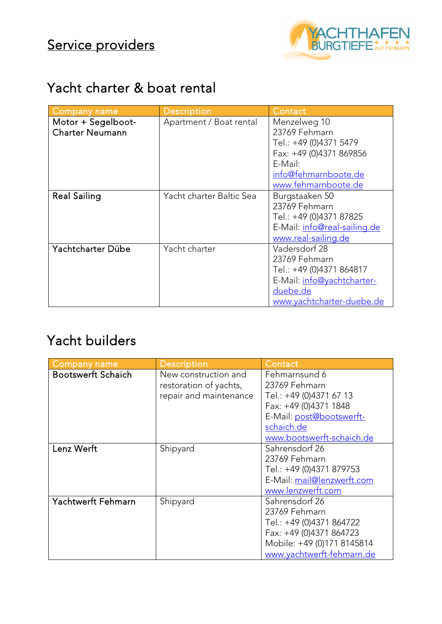

#### Yacht charter & boat rental

| <b>Company name</b>    | <b>Description</b>       | Contact                      |
|------------------------|--------------------------|------------------------------|
| Motor + Segelboot-     | Apartment / Boat rental  | Menzelweg 10                 |
| <b>Charter Neumann</b> |                          | 23769 Fehmarn                |
|                        |                          | Tel.: +49 (0)4371 5479       |
|                        |                          | Fax: +49 (0)4371 869856      |
|                        |                          | E-Mail:                      |
|                        |                          | info@fehmarnboote.de         |
|                        |                          | www.fehmarnboote.de          |
| <b>Real Sailing</b>    | Yacht charter Baltic Sea | Burgstaaken 50               |
|                        |                          | 23769 Fehmarn                |
|                        |                          | Tel.: +49 (0)4371 87825      |
|                        |                          | E-Mail: info@real-sailing.de |
|                        |                          | www.real-sailing.de          |
| Yachtcharter Dübe      | Yacht charter            | Vadersdorf 28                |
|                        |                          | 23769 Fehmarn                |
|                        |                          | Tel.: +49 (0)4371 864817     |
|                        |                          | E-Mail: info@yachtcharter-   |
|                        |                          | duebe.de                     |
|                        |                          | www.yachtcharter-duebe.de    |

## Yacht builders

| <b>Company name</b>       | <b>Description</b>     | Contact                    |
|---------------------------|------------------------|----------------------------|
| <b>Bootswerft Schaich</b> | New construction and   | Fehmarnsund 6              |
|                           | restoration of yachts, | 23769 Fehmarn              |
|                           | repair and maintenance | Tel.: +49 (0)4371 67 13    |
|                           |                        | Fax: +49 (0)4371 1848      |
|                           |                        | E-Mail: post@bootswerft-   |
|                           |                        | schaich.de                 |
|                           |                        | www.bootswerft-schaich.de  |
| Lenz Werft                | Shipyard               | Sahrensdorf 26             |
|                           |                        | 23769 Fehmarn              |
|                           |                        | Tel.: +49 (0)4371 879753   |
|                           |                        | E-Mail: mail@lenzwerft.com |
|                           |                        | www.lenzwerft.com          |
| <b>Yachtwerft Fehmarn</b> | Shipyard               | Sahrensdorf 26             |
|                           |                        | 23769 Fehmarn              |
|                           |                        | Tel.: +49 (0)4371 864722   |
|                           |                        | Fax: +49 (0)4371 864723    |
|                           |                        | Mobile: +49 (0)171 8145814 |
|                           |                        | www.yachtwerft-fehmarn.de  |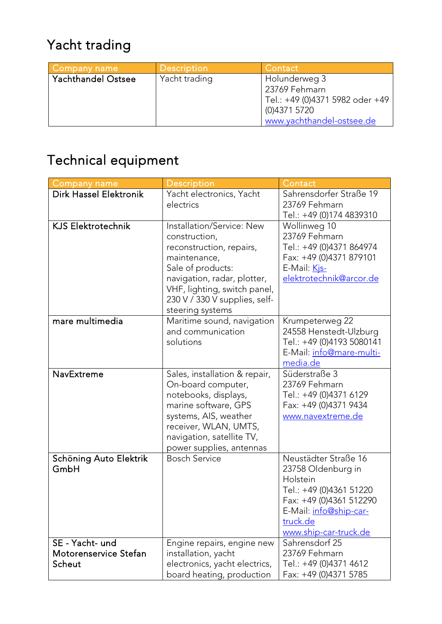# Yacht trading

| <b>Company name</b>       | Description   | Contact                                                                      |
|---------------------------|---------------|------------------------------------------------------------------------------|
| <b>Yachthandel Ostsee</b> | Yacht trading | Holunderweg 3<br>23769 Fehmarn                                               |
|                           |               | Tel.: +49 (0)4371 5982 oder +49<br>(0)4371 5720<br>www.yachthandel-ostsee.de |

# Technical equipment

| <b>Company name</b>                                | <b>Description</b>                                                                                                                                                                                                              | Contact                                                                                                                                                                     |
|----------------------------------------------------|---------------------------------------------------------------------------------------------------------------------------------------------------------------------------------------------------------------------------------|-----------------------------------------------------------------------------------------------------------------------------------------------------------------------------|
| <b>Dirk Hassel Elektronik</b>                      | Yacht electronics, Yacht<br>electrics                                                                                                                                                                                           | Sahrensdorfer Straße 19<br>23769 Fehmarn<br>Tel.: +49 (0)174 4839310                                                                                                        |
| <b>KJS Elektrotechnik</b>                          | Installation/Service: New<br>construction,<br>reconstruction, repairs,<br>maintenance,<br>Sale of products:<br>navigation, radar, plotter,<br>VHF, lighting, switch panel,<br>230 V / 330 V supplies, self-<br>steering systems | Wollinweg 10<br>23769 Fehmarn<br>Tel.: +49 (0)4371 864974<br>Fax: +49 (0)4371 879101<br>E-Mail: Kis-<br>elektrotechnik@arcor.de                                             |
| mare multimedia                                    | Maritime sound, navigation<br>and communication<br>solutions                                                                                                                                                                    | Krumpeterweg 22<br>24558 Henstedt-Ulzburg<br>Tel.: +49 (0)4193 5080141<br>E-Mail: info@mare-multi-<br>media.de                                                              |
| NavExtreme                                         | Sales, installation & repair,<br>On-board computer,<br>notebooks, displays,<br>marine software, GPS<br>systems, AIS, weather<br>receiver, WLAN, UMTS,<br>navigation, satellite TV,<br>power supplies, antennas                  | Süderstraße 3<br>23769 Fehmarn<br>Tel.: +49 (0)4371 6129<br>Fax: +49 (0)4371 9434<br>www.navextreme.de                                                                      |
| Schöning Auto Elektrik<br>GmbH                     | <b>Bosch Service</b>                                                                                                                                                                                                            | Neustädter Straße 16<br>23758 Oldenburg in<br>Holstein<br>Tel.: +49 (0)4361 51220<br>Fax: +49 (0)4361 512290<br>E-Mail: info@ship-car-<br>truck.de<br>www.ship-car-truck.de |
| SE - Yacht- und<br>Motorenservice Stefan<br>Scheut | Engine repairs, engine new<br>installation, yacht<br>electronics, yacht electrics,<br>board heating, production                                                                                                                 | Sahrensdorf 25<br>23769 Fehmarn<br>Tel.: +49 (0)4371 4612<br>Fax: +49 (0)4371 5785                                                                                          |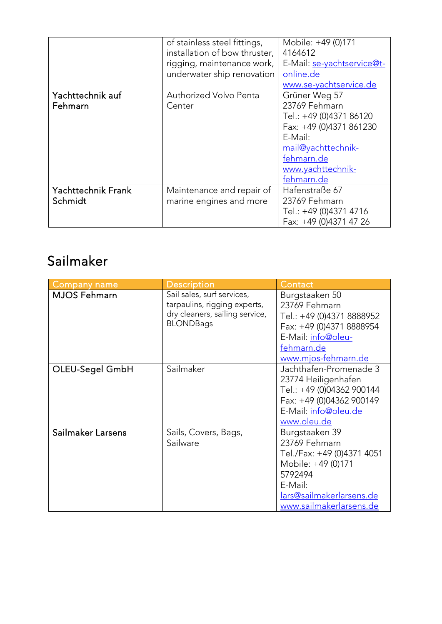|                                      | of stainless steel fittings,<br>installation of bow thruster,<br>rigging, maintenance work,<br>underwater ship renovation | Mobile: +49 (0)171<br>4164612<br>E-Mail: se-yachtservice@t-<br>online.de<br>www.se-yachtservice.de                                                                     |
|--------------------------------------|---------------------------------------------------------------------------------------------------------------------------|------------------------------------------------------------------------------------------------------------------------------------------------------------------------|
| Yachttechnik auf<br>Fehmarn          | Authorized Volvo Penta<br>Center                                                                                          | Grüner Weg 57<br>23769 Fehmarn<br>Tel.: +49 (0)4371 86120<br>Fax: +49 (0)4371 861230<br>E-Mail:<br>mail@yachttechnik-<br>fehmarn.de<br>www.yachttechnik-<br>fehmarn.de |
| <b>Yachttechnik Frank</b><br>Schmidt | Maintenance and repair of<br>marine engines and more                                                                      | Hafenstraße 67<br>23769 Fehmarn<br>Tel.: +49 (0)4371 4716<br>Fax: +49 (0)4371 47 26                                                                                    |

## Sailmaker

| <b>Company name</b> | <b>Description</b>                                                                                               | Contact                                                                                                                                                          |
|---------------------|------------------------------------------------------------------------------------------------------------------|------------------------------------------------------------------------------------------------------------------------------------------------------------------|
| <b>MJOS Fehmarn</b> | Sail sales, surf services,<br>tarpaulins, rigging experts,<br>dry cleaners, sailing service,<br><b>BLONDBags</b> | Burgstaaken 50<br>23769 Fehmarn<br>Tel.: +49 (0)4371 8888952<br>Fax: +49 (0)4371 8888954<br>E-Mail: info@oleu-<br>fehmarn.de<br>www.mjos-fehmarn.de              |
| OLEU-Segel GmbH     | Sailmaker                                                                                                        | Jachthafen-Promenade 3<br>23774 Heiligenhafen<br>Tel.: +49 (0)04362 900144<br>Fax: +49 (0)04362 900149<br>E-Mail: info@oleu.de<br>www.oleu.de                    |
| Sailmaker Larsens   | Sails, Covers, Bags,<br>Sailware                                                                                 | Burgstaaken 39<br>23769 Fehmarn<br>Tel./Fax: +49 (0)4371 4051<br>Mobile: +49 (0)171<br>5792494<br>E-Mail:<br>lars@sailmakerlarsens.de<br>www.sailmakerlarsens.de |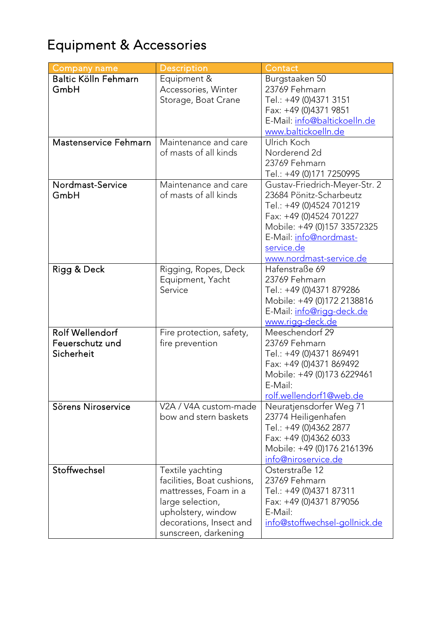# Equipment & Accessories

| <b>Company name</b>   | <b>Description</b>         | Contact                              |
|-----------------------|----------------------------|--------------------------------------|
| Baltic Kölln Fehmarn  | Equipment &                | Burgstaaken 50                       |
| GmbH                  | Accessories, Winter        | 23769 Fehmarn                        |
|                       | Storage, Boat Crane        | Tel.: +49 (0)4371 3151               |
|                       |                            | Fax: +49 (0)4371 9851                |
|                       |                            | E-Mail: info@baltickoelln.de         |
|                       |                            | www.baltickoelln.de                  |
| Mastenservice Fehmarn | Maintenance and care       | Ulrich Koch                          |
|                       | of masts of all kinds      | Norderend 2d                         |
|                       |                            | 23769 Fehmarn                        |
|                       |                            | Tel.: +49 (0)171 7250995             |
| Nordmast-Service      | Maintenance and care       | Gustav-Friedrich-Meyer-Str. 2        |
| GmbH                  | of masts of all kinds      | 23684 Pönitz-Scharbeutz              |
|                       |                            | Tel.: +49 (0)4524 701219             |
|                       |                            | Fax: +49 (0)4524 701227              |
|                       |                            | Mobile: +49 (0)157 33572325          |
|                       |                            | E-Mail: info@nordmast-               |
|                       |                            | service.de                           |
|                       |                            | www.nordmast-service.de              |
| Rigg & Deck           | Rigging, Ropes, Deck       | Hafenstraße 69                       |
|                       | Equipment, Yacht           | 23769 Fehmarn                        |
|                       | Service                    | Tel.: +49 (0)4371 879286             |
|                       |                            | Mobile: +49 (0)172 2138816           |
|                       |                            | E-Mail: <i>info@rigg-deck.de</i>     |
|                       |                            | www.rigg-deck.de                     |
| Rolf Wellendorf       | Fire protection, safety,   | Meeschendorf 29                      |
| Feuerschutz und       | fire prevention            | 23769 Fehmarn                        |
| Sicherheit            |                            | Tel.: +49 (0)4371 869491             |
|                       |                            | Fax: +49 (0)4371 869492              |
|                       |                            | Mobile: +49 (0)173 6229461           |
|                       |                            | E-Mail:                              |
|                       |                            | rolf.wellendorf1@web.de              |
| Sörens Niroservice    | V2A / V4A custom-made      | Neuratjensdorfer Weg 71              |
|                       | bow and stern baskets      | 23774 Heiligenhafen                  |
|                       |                            | Tel.: +49 (0)4362 2877               |
|                       |                            | Fax: +49 (0)4362 6033                |
|                       |                            | Mobile: +49 (0)176 2161396           |
|                       |                            | <u>info@niroservice.de</u>           |
| Stoffwechsel          | Textile yachting           | Osterstraße 12<br>23769 Fehmarn      |
|                       | facilities, Boat cushions, |                                      |
|                       | mattresses, Foam in a      | Tel.: +49 (0)4371 87311              |
|                       | large selection,           | Fax: +49 (0)4371 879056              |
|                       | upholstery, window         | E-Mail:                              |
|                       | decorations, Insect and    | <u>info@stoffwechsel-gollnick.de</u> |
|                       | sunscreen, darkening       |                                      |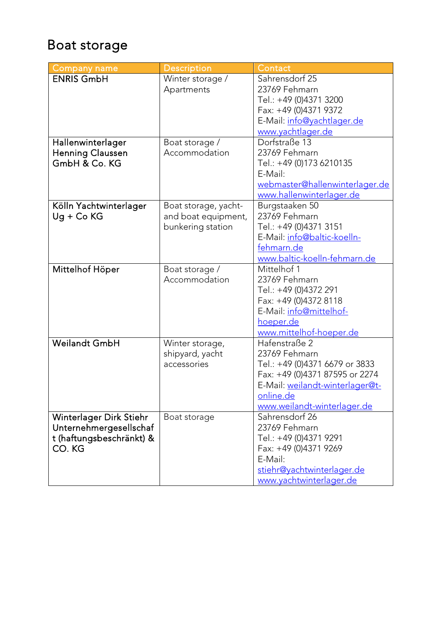## Boat storage

| <b>Company name</b>      | Description          | Contact                         |
|--------------------------|----------------------|---------------------------------|
| <b>ENRIS GmbH</b>        | Winter storage /     | Sahrensdorf 25                  |
|                          | Apartments           | 23769 Fehmarn                   |
|                          |                      | Tel.: +49 (0)4371 3200          |
|                          |                      | Fax: +49 (0)4371 9372           |
|                          |                      | E-Mail: info@yachtlager.de      |
|                          |                      | www.yachtlager.de               |
| Hallenwinterlager        | Boat storage /       | Dorfstraße 13                   |
| <b>Henning Claussen</b>  | Accommodation        | 23769 Fehmarn                   |
| GmbH & Co. KG            |                      | Tel.: +49 (0)173 6210135        |
|                          |                      | E-Mail:                         |
|                          |                      | webmaster@hallenwinterlager.de  |
|                          |                      | www.hallenwinterlager.de        |
| Kölln Yachtwinterlager   | Boat storage, yacht- | Burgstaaken 50                  |
| $Ug + Co$ KG             | and boat equipment,  | 23769 Fehmarn                   |
|                          | bunkering station    | Tel.: +49 (0)4371 3151          |
|                          |                      | E-Mail: info@baltic-koelln-     |
|                          |                      | fehmarn.de                      |
|                          |                      | www.baltic-koelln-fehmarn.de    |
| Mittelhof Höper          | Boat storage /       | Mittelhof 1                     |
|                          | Accommodation        | 23769 Fehmarn                   |
|                          |                      | Tel.: +49 (0)4372 291           |
|                          |                      | Fax: +49 (0)4372 8118           |
|                          |                      | E-Mail: info@mittelhof-         |
|                          |                      | hoeper.de                       |
|                          |                      | www.mittelhof-hoeper.de         |
| <b>Weilandt GmbH</b>     | Winter storage,      | Hafenstraße 2                   |
|                          | shipyard, yacht      | 23769 Fehmarn                   |
|                          | accessories          | Tel.: +49 (0)4371 6679 or 3833  |
|                          |                      | Fax: +49 (0)4371 87595 or 2274  |
|                          |                      | E-Mail: weilandt-winterlager@t- |
|                          |                      | online.de                       |
|                          |                      | www.weilandt-winterlager.de     |
| Winterlager Dirk Stiehr  | Boat storage         | Sahrensdorf 26                  |
| Unternehmergesellschaf   |                      | 23769 Fehmarn                   |
| t (haftungsbeschränkt) & |                      | Tel.: +49 (0)4371 9291          |
| CO. KG                   |                      | Fax: +49 (0)4371 9269           |
|                          |                      | E-Mail:                         |
|                          |                      | stiehr@yachtwinterlager.de      |
|                          |                      | www.yachtwinterlager.de         |